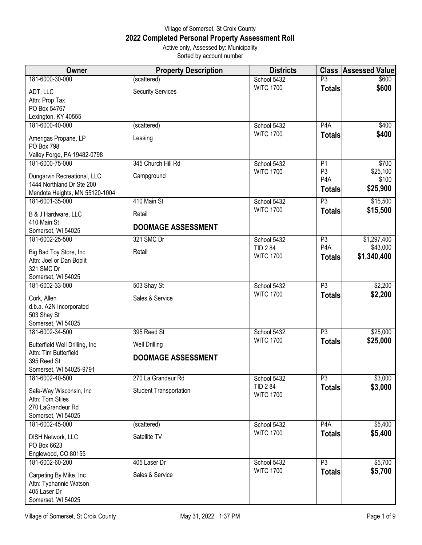## Village of Somerset, St Croix County **2022 Completed Personal Property Assessment Roll** Active only, Assessed by: Municipality

Sorted by account number

| Owner                                  | <b>Property Description</b>   | <b>Districts</b> | <b>Class</b>     | <b>Assessed Value</b> |
|----------------------------------------|-------------------------------|------------------|------------------|-----------------------|
| 181-6000-30-000                        | (scattered)                   | School 5432      | P3               | \$600                 |
| ADT, LLC                               | <b>Security Services</b>      | <b>WITC 1700</b> | <b>Totals</b>    | \$600                 |
| Attn: Prop Tax                         |                               |                  |                  |                       |
| PO Box 54767                           |                               |                  |                  |                       |
| Lexington, KY 40555                    |                               |                  |                  |                       |
| 181-6000-40-000                        | (scattered)                   | School 5432      | P4A              | \$400                 |
| Amerigas Propane, LP                   | Leasing                       | <b>WITC 1700</b> | <b>Totals</b>    | \$400                 |
| PO Box 798                             |                               |                  |                  |                       |
| Valley Forge, PA 19482-0798            |                               |                  |                  |                       |
| 181-6000-75-000                        | 345 Church Hill Rd            | School 5432      | P1               | \$700                 |
| Dungarvin Recreational, LLC            | Campground                    | <b>WITC 1700</b> | P <sub>3</sub>   | \$25,100              |
| 1444 Northland Dr Ste 200              |                               |                  | P <sub>4</sub> A | \$100                 |
| Mendota Heights, MN 55120-1004         |                               |                  | <b>Totals</b>    | \$25,900              |
| 181-6001-35-000                        | 410 Main St                   | School 5432      | $\overline{P3}$  | \$15,500              |
|                                        |                               | <b>WITC 1700</b> | <b>Totals</b>    | \$15,500              |
| B & J Hardware, LLC<br>410 Main St     | Retail                        |                  |                  |                       |
| Somerset, WI 54025                     | <b>DOOMAGE ASSESSMENT</b>     |                  |                  |                       |
| 181-6002-25-500                        | 321 SMC Dr                    | School 5432      | P3               | \$1,297,400           |
|                                        |                               | <b>TID 284</b>   | P <sub>4</sub> A | \$43,000              |
| Big Bad Toy Store, Inc                 | Retail                        | <b>WITC 1700</b> | <b>Totals</b>    | \$1,340,400           |
| Attn: Joel or Dan Boblit<br>321 SMC Dr |                               |                  |                  |                       |
| Somerset, WI 54025                     |                               |                  |                  |                       |
| 181-6002-33-000                        | 503 Shay St                   | School 5432      | $\overline{P3}$  | \$2,200               |
|                                        |                               | <b>WITC 1700</b> | <b>Totals</b>    | \$2,200               |
| Cork, Allen                            | Sales & Service               |                  |                  |                       |
| d.b.a. A2N Incorporated<br>503 Shay St |                               |                  |                  |                       |
| Somerset, WI 54025                     |                               |                  |                  |                       |
| 181-6002-34-500                        | 395 Reed St                   | School 5432      | P3               | \$25,000              |
|                                        |                               | <b>WITC 1700</b> | <b>Totals</b>    | \$25,000              |
| Butterfield Well Drilling, Inc         | <b>Well Drilling</b>          |                  |                  |                       |
| Attn: Tim Butterfield<br>395 Reed St   | <b>DOOMAGE ASSESSMENT</b>     |                  |                  |                       |
| Somerset, WI 54025-9791                |                               |                  |                  |                       |
| 181-6002-40-500                        | 270 La Grandeur Rd            | School 5432      | P3               | \$3,000               |
|                                        |                               | <b>TID 284</b>   | <b>Totals</b>    | \$3,000               |
| Safe-Way Wisconsin, Inc                | <b>Student Transportation</b> | <b>WITC 1700</b> |                  |                       |
| Attn: Tom Stiles<br>270 LaGrandeur Rd  |                               |                  |                  |                       |
| Somerset, WI 54025                     |                               |                  |                  |                       |
| 181-6002-45-000                        | (scattered)                   | School 5432      | P <sub>4</sub> A | \$5,400               |
|                                        |                               | <b>WITC 1700</b> | <b>Totals</b>    | \$5,400               |
| DISH Network, LLC                      | Satellite TV                  |                  |                  |                       |
| PO Box 6623<br>Englewood, CO 80155     |                               |                  |                  |                       |
| 181-6002-60-200                        | 405 Laser Dr                  | School 5432      | $\overline{P3}$  | \$5,700               |
|                                        |                               | <b>WITC 1700</b> | <b>Totals</b>    | \$5,700               |
| Carpeting By Mike, Inc                 | Sales & Service               |                  |                  |                       |
| Attn: Typhannie Watson                 |                               |                  |                  |                       |
| 405 Laser Dr<br>Somerset, WI 54025     |                               |                  |                  |                       |
|                                        |                               |                  |                  |                       |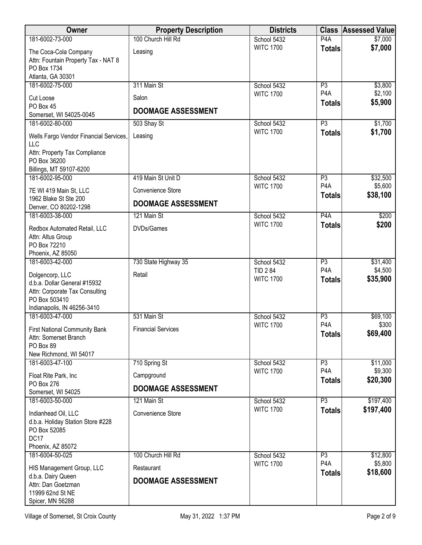| <b>Owner</b>                                                                                                                      | <b>Property Description</b>             | <b>Districts</b>                   | <b>Class</b>                      | <b>Assessed Value</b> |
|-----------------------------------------------------------------------------------------------------------------------------------|-----------------------------------------|------------------------------------|-----------------------------------|-----------------------|
| 181-6002-73-000                                                                                                                   | 100 Church Hill Rd                      | School 5432                        | P <sub>4</sub> A                  | \$7,000               |
| The Coca-Cola Company<br>Attn: Fountain Property Tax - NAT 8<br>PO Box 1734<br>Atlanta, GA 30301                                  | Leasing                                 | <b>WITC 1700</b>                   | <b>Totals</b>                     | \$7,000               |
| 181-6002-75-000                                                                                                                   | 311 Main St                             | School 5432                        | P3                                | \$3,800               |
| Cut Loose                                                                                                                         | Salon                                   | <b>WITC 1700</b>                   | P <sub>4</sub> A<br><b>Totals</b> | \$2,100<br>\$5,900    |
| PO Box 45<br>Somerset, WI 54025-0045                                                                                              | <b>DOOMAGE ASSESSMENT</b>               |                                    |                                   |                       |
| 181-6002-80-000                                                                                                                   | 503 Shay St                             | School 5432                        | $\overline{P3}$                   | \$1,700               |
| Wells Fargo Vendor Financial Services,<br>LLC<br>Attn: Property Tax Compliance<br>PO Box 36200                                    | Leasing                                 | <b>WITC 1700</b>                   | <b>Totals</b>                     | \$1,700               |
| Billings, MT 59107-6200                                                                                                           |                                         |                                    |                                   |                       |
| 181-6002-95-000                                                                                                                   | 419 Main St Unit D                      | School 5432                        | P3                                | \$32,500              |
| 7E WI 419 Main St, LLC                                                                                                            | Convenience Store                       | <b>WITC 1700</b>                   | P <sub>4</sub> A                  | \$5,600               |
| 1962 Blake St Ste 200<br>Denver, CO 80202-1298                                                                                    | <b>DOOMAGE ASSESSMENT</b>               |                                    | <b>Totals</b>                     | \$38,100              |
| 181-6003-38-000                                                                                                                   | 121 Main St                             | School 5432                        | P4A                               | \$200                 |
| Redbox Automated Retail, LLC<br>Attn: Altus Group<br>PO Box 72210<br>Phoenix, AZ 85050                                            | DVDs/Games                              | <b>WITC 1700</b>                   | <b>Totals</b>                     | \$200                 |
| 181-6003-42-000                                                                                                                   | 730 State Highway 35                    | School 5432                        | P3                                | \$31,400              |
| Dolgencorp, LLC<br>d.b.a. Dollar General #15932<br>Attn: Corporate Tax Consulting<br>PO Box 503410<br>Indianapolis, IN 46256-3410 | Retail                                  | <b>TID 284</b><br><b>WITC 1700</b> | P <sub>4</sub> A<br><b>Totals</b> | \$4,500<br>\$35,900   |
| 181-6003-47-000                                                                                                                   | 531 Main St                             | School 5432                        | P3                                | \$69,100              |
| <b>First National Community Bank</b><br>Attn: Somerset Branch<br>PO Box 89                                                        | <b>Financial Services</b>               | <b>WITC 1700</b>                   | P <sub>4</sub> A<br><b>Totals</b> | \$300<br>\$69,400     |
| New Richmond, WI 54017<br>181-6003-47-100                                                                                         | 710 Spring St                           |                                    | P3                                |                       |
|                                                                                                                                   |                                         | School 5432<br><b>WITC 1700</b>    | P <sub>4</sub> A                  | \$11,000<br>\$9,300   |
| Float Rite Park, Inc<br>PO Box 276                                                                                                | Campground                              |                                    | <b>Totals</b>                     | \$20,300              |
| Somerset, WI 54025                                                                                                                | <b>DOOMAGE ASSESSMENT</b>               |                                    |                                   |                       |
| 181-6003-50-000                                                                                                                   | 121 Main St                             | School 5432                        | P3                                | \$197,400             |
| Indianhead Oil, LLC<br>d.b.a. Holiday Station Store #228<br>PO Box 52085<br>DC17<br>Phoenix, AZ 85072                             | Convenience Store                       | <b>WITC 1700</b>                   | <b>Totals</b>                     | \$197,400             |
| 181-6004-50-025                                                                                                                   | 100 Church Hill Rd                      | School 5432                        | P3                                | \$12,800              |
| HIS Management Group, LLC<br>d.b.a. Dairy Queen<br>Attn: Dan Goetzman<br>11999 62nd St NE<br>Spicer, MN 56288                     | Restaurant<br><b>DOOMAGE ASSESSMENT</b> | <b>WITC 1700</b>                   | P <sub>4</sub> A<br><b>Totals</b> | \$5,800<br>\$18,600   |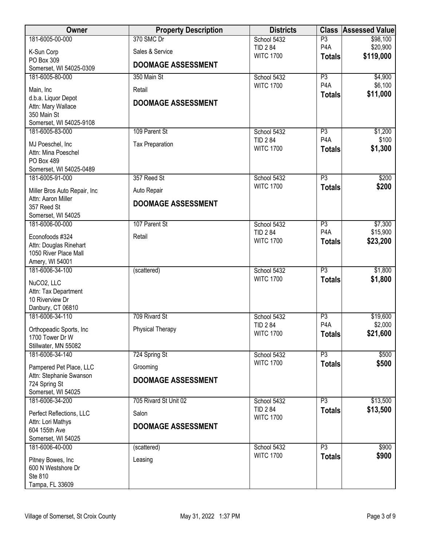| <b>Owner</b>                                       | <b>Property Description</b> | <b>Districts</b>                   |                                   | <b>Class Assessed Value</b> |
|----------------------------------------------------|-----------------------------|------------------------------------|-----------------------------------|-----------------------------|
| 181-6005-00-000                                    | 370 SMC Dr                  | School 5432                        | P3                                | \$98,100                    |
| K-Sun Corp                                         | Sales & Service             | <b>TID 284</b><br><b>WITC 1700</b> | P <sub>4</sub> A                  | \$20,900<br>\$119,000       |
| PO Box 309                                         | <b>DOOMAGE ASSESSMENT</b>   |                                    | <b>Totals</b>                     |                             |
| Somerset, WI 54025-0309<br>181-6005-80-000         | 350 Main St                 |                                    | $\overline{P3}$                   |                             |
|                                                    |                             | School 5432<br><b>WITC 1700</b>    | P <sub>4</sub> A                  | \$4,900<br>\$6,100          |
| Main, Inc                                          | Retail                      |                                    | <b>Totals</b>                     | \$11,000                    |
| d.b.a. Liquor Depot<br>Attn: Mary Wallace          | <b>DOOMAGE ASSESSMENT</b>   |                                    |                                   |                             |
| 350 Main St                                        |                             |                                    |                                   |                             |
| Somerset, WI 54025-9108                            |                             |                                    |                                   |                             |
| 181-6005-83-000                                    | 109 Parent St               | School 5432                        | P3                                | \$1,200                     |
| MJ Poeschel, Inc                                   | <b>Tax Preparation</b>      | <b>TID 284</b><br><b>WITC 1700</b> | P <sub>4</sub> A                  | \$100<br>\$1,300            |
| Attn: Mina Poeschel                                |                             |                                    | <b>Totals</b>                     |                             |
| PO Box 489<br>Somerset, WI 54025-0489              |                             |                                    |                                   |                             |
| 181-6005-91-000                                    | 357 Reed St                 | School 5432                        | $\overline{P3}$                   | \$200                       |
|                                                    |                             | <b>WITC 1700</b>                   | <b>Totals</b>                     | \$200                       |
| Miller Bros Auto Repair, Inc<br>Attn: Aaron Miller | Auto Repair                 |                                    |                                   |                             |
| 357 Reed St                                        | <b>DOOMAGE ASSESSMENT</b>   |                                    |                                   |                             |
| Somerset, WI 54025                                 |                             |                                    |                                   |                             |
| 181-6006-00-000                                    | 107 Parent St               | School 5432                        | P3                                | \$7,300                     |
| Econofoods #324                                    | Retail                      | <b>TID 284</b><br><b>WITC 1700</b> | P <sub>4</sub> A<br><b>Totals</b> | \$15,900<br>\$23,200        |
| Attn: Douglas Rinehart                             |                             |                                    |                                   |                             |
| 1050 River Place Mall<br>Amery, WI 54001           |                             |                                    |                                   |                             |
| 181-6006-34-100                                    | (scattered)                 | School 5432                        | $\overline{P3}$                   | \$1,800                     |
| NuCO2, LLC                                         |                             | <b>WITC 1700</b>                   | <b>Totals</b>                     | \$1,800                     |
| Attn: Tax Department                               |                             |                                    |                                   |                             |
| 10 Riverview Dr                                    |                             |                                    |                                   |                             |
| Danbury, CT 06810                                  |                             |                                    |                                   |                             |
| 181-6006-34-110                                    | 709 Rivard St               | School 5432<br><b>TID 284</b>      | P3<br>P <sub>4</sub> A            | \$19,600<br>\$2,000         |
| Orthopeadic Sports, Inc.                           | Physical Therapy            | <b>WITC 1700</b>                   | <b>Totals</b>                     | \$21,600                    |
| 1700 Tower Dr W                                    |                             |                                    |                                   |                             |
| Stillwater, MN 55082<br>181-6006-34-140            | 724 Spring St               | School 5432                        | $\overline{P3}$                   | \$500                       |
|                                                    |                             | <b>WITC 1700</b>                   | <b>Totals</b>                     | \$500                       |
| Pampered Pet Place, LLC<br>Attn: Stephanie Swanson | Grooming                    |                                    |                                   |                             |
| 724 Spring St                                      | <b>DOOMAGE ASSESSMENT</b>   |                                    |                                   |                             |
| Somerset, WI 54025                                 |                             |                                    |                                   |                             |
| 181-6006-34-200                                    | 705 Rivard St Unit 02       | School 5432                        | P3                                | \$13,500                    |
| Perfect Reflections, LLC                           | Salon                       | <b>TID 284</b><br><b>WITC 1700</b> | <b>Totals</b>                     | \$13,500                    |
| Attn: Lori Mathys                                  | <b>DOOMAGE ASSESSMENT</b>   |                                    |                                   |                             |
| 604 155th Ave<br>Somerset, WI 54025                |                             |                                    |                                   |                             |
| 181-6006-40-000                                    | (scattered)                 | School 5432                        | P3                                | \$900                       |
|                                                    | Leasing                     | <b>WITC 1700</b>                   | <b>Totals</b>                     | \$900                       |
| Pitney Bowes, Inc<br>600 N Westshore Dr            |                             |                                    |                                   |                             |
| Ste 810                                            |                             |                                    |                                   |                             |
| Tampa, FL 33609                                    |                             |                                    |                                   |                             |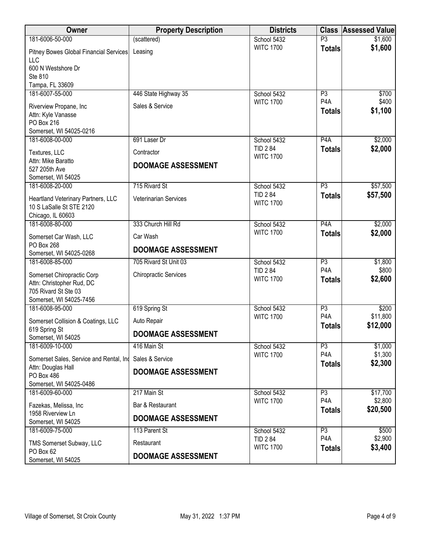| Owner                                         | <b>Property Description</b>  | <b>Districts</b>                   | <b>Class</b>                       | <b>Assessed Value</b> |
|-----------------------------------------------|------------------------------|------------------------------------|------------------------------------|-----------------------|
| 181-6006-50-000                               | (scattered)                  | School 5432                        | $\overline{P3}$                    | \$1,600               |
| Pitney Bowes Global Financial Services<br>LLC | Leasing                      | <b>WITC 1700</b>                   | <b>Totals</b>                      | \$1,600               |
| 600 N Westshore Dr                            |                              |                                    |                                    |                       |
| Ste 810                                       |                              |                                    |                                    |                       |
| Tampa, FL 33609<br>181-6007-55-000            | 446 State Highway 35         | School 5432                        | P3                                 | \$700                 |
|                                               |                              | <b>WITC 1700</b>                   | P <sub>4</sub> A                   | \$400                 |
| Riverview Propane, Inc<br>Attn: Kyle Vanasse  | Sales & Service              |                                    | <b>Totals</b>                      | \$1,100               |
| PO Box 216                                    |                              |                                    |                                    |                       |
| Somerset, WI 54025-0216                       |                              |                                    |                                    |                       |
| 181-6008-00-000                               | 691 Laser Dr                 | School 5432                        | P <sub>4</sub> A                   | \$2,000               |
| Textures, LLC                                 | Contractor                   | <b>TID 284</b><br><b>WITC 1700</b> | <b>Totals</b>                      | \$2,000               |
| Attn: Mike Baratto<br>527 205th Ave           | <b>DOOMAGE ASSESSMENT</b>    |                                    |                                    |                       |
| Somerset, WI 54025                            |                              |                                    |                                    |                       |
| 181-6008-20-000                               | 715 Rivard St                | School 5432                        | P3                                 | \$57,500              |
| Heartland Veterinary Partners, LLC            | Veterinarian Services        | <b>TID 284</b>                     | <b>Totals</b>                      | \$57,500              |
| 10 S LaSalle St STE 2120                      |                              | <b>WITC 1700</b>                   |                                    |                       |
| Chicago, IL 60603                             |                              |                                    |                                    |                       |
| 181-6008-80-000                               | 333 Church Hill Rd           | School 5432<br><b>WITC 1700</b>    | P4A<br><b>Totals</b>               | \$2,000<br>\$2,000    |
| Somerset Car Wash, LLC                        | Car Wash                     |                                    |                                    |                       |
| PO Box 268<br>Somerset, WI 54025-0268         | <b>DOOMAGE ASSESSMENT</b>    |                                    |                                    |                       |
| 181-6008-85-000                               | 705 Rivard St Unit 03        | School 5432                        | P3                                 | \$1,800               |
| Somerset Chiropractic Corp                    | <b>Chiropractic Services</b> | <b>TID 284</b>                     | P <sub>4</sub> A                   | \$800                 |
| Attn: Christopher Rud, DC                     |                              | <b>WITC 1700</b>                   | <b>Totals</b>                      | \$2,600               |
| 705 Rivard St Ste 03                          |                              |                                    |                                    |                       |
| Somerset, WI 54025-7456                       |                              |                                    |                                    |                       |
| 181-6008-95-000                               | 619 Spring St                | School 5432<br><b>WITC 1700</b>    | P3<br>P <sub>4</sub> A             | \$200<br>\$11,800     |
| Somerset Collision & Coatings, LLC            | Auto Repair                  |                                    | <b>Totals</b>                      | \$12,000              |
| 619 Spring St<br>Somerset, WI 54025           | <b>DOOMAGE ASSESSMENT</b>    |                                    |                                    |                       |
| 181-6009-10-000                               | 416 Main St                  | School 5432                        | P3                                 | \$1,000               |
| Somerset Sales, Service and Rental, Ind       | Sales & Service              | <b>WITC 1700</b>                   | P <sub>4</sub> A<br><b>Totals</b>  | \$1,300<br>\$2,300    |
| Attn: Douglas Hall<br>PO Box 486              | <b>DOOMAGE ASSESSMENT</b>    |                                    |                                    |                       |
| Somerset, WI 54025-0486                       |                              |                                    |                                    |                       |
| 181-6009-60-000                               | 217 Main St                  | School 5432<br><b>WITC 1700</b>    | P <sub>3</sub><br>P <sub>4</sub> A | \$17,700<br>\$2,800   |
| Fazekas, Melissa, Inc                         | Bar & Restaurant             |                                    | <b>Totals</b>                      | \$20,500              |
| 1958 Riverview Ln<br>Somerset, WI 54025       | <b>DOOMAGE ASSESSMENT</b>    |                                    |                                    |                       |
| 181-6009-75-000                               | 113 Parent St                | School 5432                        | P3                                 | \$500                 |
| TMS Somerset Subway, LLC                      | Restaurant                   | <b>TID 284</b>                     | P <sub>4</sub> A                   | \$2,900               |
| PO Box 62                                     | <b>DOOMAGE ASSESSMENT</b>    | <b>WITC 1700</b>                   | <b>Totals</b>                      | \$3,400               |
| Somerset, WI 54025                            |                              |                                    |                                    |                       |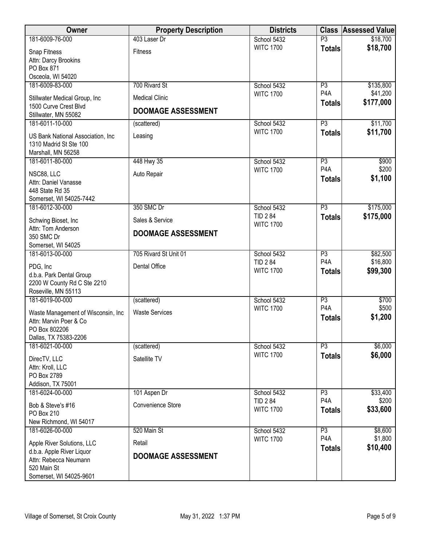| <b>Owner</b>                                                                       | <b>Property Description</b> | <b>Districts</b>              |                                     | <b>Class Assessed Value</b> |
|------------------------------------------------------------------------------------|-----------------------------|-------------------------------|-------------------------------------|-----------------------------|
| 181-6009-76-000                                                                    | 403 Laser Dr                | School 5432                   | P3                                  | \$18,700                    |
| Snap Fitness                                                                       | <b>Fitness</b>              | <b>WITC 1700</b>              | <b>Totals</b>                       | \$18,700                    |
| Attn: Darcy Brookins                                                               |                             |                               |                                     |                             |
| PO Box 871                                                                         |                             |                               |                                     |                             |
| Osceola, WI 54020<br>181-6009-83-000                                               | 700 Rivard St               | School 5432                   | P3                                  | \$135,800                   |
|                                                                                    |                             | <b>WITC 1700</b>              | P <sub>4</sub> A                    | \$41,200                    |
| Stillwater Medical Group, Inc                                                      | <b>Medical Clinic</b>       |                               | <b>Totals</b>                       | \$177,000                   |
| 1500 Curve Crest Blvd<br>Stillwater, MN 55082                                      | <b>DOOMAGE ASSESSMENT</b>   |                               |                                     |                             |
| 181-6011-10-000                                                                    | (scattered)                 | School 5432                   | $\overline{P3}$                     | \$11,700                    |
| US Bank National Association, Inc.<br>1310 Madrid St Ste 100<br>Marshall, MN 56258 | Leasing                     | <b>WITC 1700</b>              | <b>Totals</b>                       | \$11,700                    |
| 181-6011-80-000                                                                    | 448 Hwy 35                  | School 5432                   | P3                                  | \$900                       |
| NSC88, LLC                                                                         | Auto Repair                 | <b>WITC 1700</b>              | P <sub>4</sub> A                    | \$200                       |
| Attn: Daniel Vanasse                                                               |                             |                               | <b>Totals</b>                       | \$1,100                     |
| 448 State Rd 35                                                                    |                             |                               |                                     |                             |
| Somerset, WI 54025-7442                                                            |                             |                               |                                     |                             |
| 181-6012-30-000                                                                    | 350 SMC Dr                  | School 5432<br><b>TID 284</b> | P3                                  | \$175,000                   |
| Schwing Bioset, Inc                                                                | Sales & Service             | <b>WITC 1700</b>              | <b>Totals</b>                       | \$175,000                   |
| Attn: Tom Anderson                                                                 | <b>DOOMAGE ASSESSMENT</b>   |                               |                                     |                             |
| 350 SMC Dr<br>Somerset, WI 54025                                                   |                             |                               |                                     |                             |
| 181-6013-00-000                                                                    | 705 Rivard St Unit 01       | School 5432                   | P3                                  | \$82,500                    |
| PDG, Inc                                                                           | Dental Office               | <b>TID 284</b>                | P <sub>4</sub> A                    | \$16,800                    |
| d.b.a. Park Dental Group                                                           |                             | <b>WITC 1700</b>              | <b>Totals</b>                       | \$99,300                    |
| 2200 W County Rd C Ste 2210                                                        |                             |                               |                                     |                             |
| Roseville, MN 55113                                                                |                             |                               |                                     |                             |
| 181-6019-00-000                                                                    | (scattered)                 | School 5432                   | P3                                  | \$700                       |
| Waste Management of Wisconsin, Inc                                                 | <b>Waste Services</b>       | <b>WITC 1700</b>              | P <sub>4</sub> A                    | \$500<br>\$1,200            |
| Attn: Marvin Poer & Co                                                             |                             |                               | <b>Totals</b>                       |                             |
| PO Box 802206<br>Dallas, TX 75383-2206                                             |                             |                               |                                     |                             |
| 181-6021-00-000                                                                    | (scattered)                 | School 5432                   | P3                                  | \$6,000                     |
|                                                                                    |                             | <b>WITC 1700</b>              | <b>Totals</b>                       | \$6,000                     |
| DirecTV, LLC<br>Attn: Kroll, LLC                                                   | Satellite TV                |                               |                                     |                             |
| PO Box 2789                                                                        |                             |                               |                                     |                             |
| Addison, TX 75001                                                                  |                             |                               |                                     |                             |
| 181-6024-00-000                                                                    | 101 Aspen Dr                | School 5432                   | P3                                  | \$33,400                    |
| Bob & Steve's #16                                                                  | Convenience Store           | <b>TID 284</b>                | P <sub>4</sub> A                    | \$200                       |
| <b>PO Box 210</b>                                                                  |                             | <b>WITC 1700</b>              | <b>Totals</b>                       | \$33,600                    |
| New Richmond, WI 54017                                                             |                             |                               |                                     |                             |
| 181-6026-00-000                                                                    | 520 Main St                 | School 5432                   | $\overline{P3}$<br>P <sub>4</sub> A | \$8,600                     |
| Apple River Solutions, LLC                                                         | Retail                      | <b>WITC 1700</b>              | <b>Totals</b>                       | \$1,800<br>\$10,400         |
| d.b.a. Apple River Liquor                                                          | <b>DOOMAGE ASSESSMENT</b>   |                               |                                     |                             |
| Attn: Rebecca Neumann<br>520 Main St                                               |                             |                               |                                     |                             |
| Somerset, WI 54025-9601                                                            |                             |                               |                                     |                             |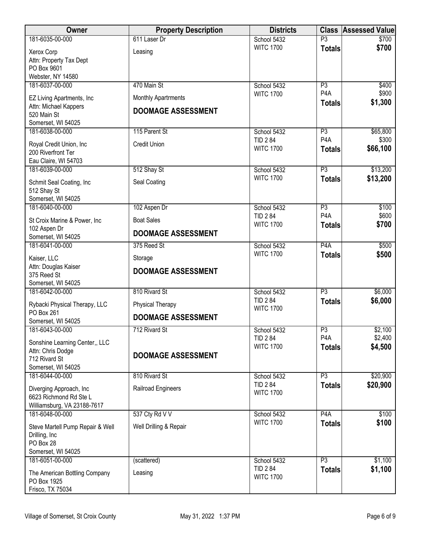| <b>Owner</b>                                       | <b>Property Description</b> | <b>Districts</b>                   |                        | <b>Class Assessed Value</b> |
|----------------------------------------------------|-----------------------------|------------------------------------|------------------------|-----------------------------|
| 181-6035-00-000                                    | 611 Laser Dr                | School 5432                        | $\overline{P3}$        | \$700                       |
| Xerox Corp                                         | Leasing                     | <b>WITC 1700</b>                   | <b>Totals</b>          | \$700                       |
| Attn: Property Tax Dept                            |                             |                                    |                        |                             |
| PO Box 9601                                        |                             |                                    |                        |                             |
| Webster, NY 14580<br>181-6037-00-000               | 470 Main St                 | School 5432                        | P3                     | \$400                       |
|                                                    |                             | <b>WITC 1700</b>                   | P <sub>4</sub> A       | \$900                       |
| EZ Living Apartments, Inc<br>Attn: Michael Kappers | <b>Monthly Apartrments</b>  |                                    | <b>Totals</b>          | \$1,300                     |
| 520 Main St                                        | <b>DOOMAGE ASSESSMENT</b>   |                                    |                        |                             |
| Somerset, WI 54025                                 |                             |                                    |                        |                             |
| 181-6038-00-000                                    | 115 Parent St               | School 5432                        | P3                     | \$65,800                    |
| Royal Credit Union, Inc                            | <b>Credit Union</b>         | <b>TID 284</b>                     | P <sub>4</sub> A       | \$300                       |
| 200 Riverfront Ter                                 |                             | <b>WITC 1700</b>                   | <b>Totals</b>          | \$66,100                    |
| Eau Claire, WI 54703                               |                             |                                    |                        |                             |
| 181-6039-00-000                                    | 512 Shay St                 | School 5432                        | P3                     | \$13,200                    |
| Schmit Seal Coating, Inc                           | Seal Coating                | <b>WITC 1700</b>                   | <b>Totals</b>          | \$13,200                    |
| 512 Shay St                                        |                             |                                    |                        |                             |
| Somerset, WI 54025                                 |                             |                                    |                        |                             |
| 181-6040-00-000                                    | 102 Aspen Dr                | School 5432                        | P3<br>P <sub>4</sub> A | \$100                       |
| St Croix Marine & Power, Inc                       | <b>Boat Sales</b>           | <b>TID 284</b><br><b>WITC 1700</b> | <b>Totals</b>          | \$600<br>\$700              |
| 102 Aspen Dr                                       | <b>DOOMAGE ASSESSMENT</b>   |                                    |                        |                             |
| Somerset, WI 54025                                 |                             |                                    |                        |                             |
| 181-6041-00-000                                    | 375 Reed St                 | School 5432<br><b>WITC 1700</b>    | P <sub>4</sub> A       | \$500<br>\$500              |
| Kaiser, LLC                                        | Storage                     |                                    | <b>Totals</b>          |                             |
| Attn: Douglas Kaiser                               | <b>DOOMAGE ASSESSMENT</b>   |                                    |                        |                             |
| 375 Reed St<br>Somerset, WI 54025                  |                             |                                    |                        |                             |
| 181-6042-00-000                                    | 810 Rivard St               | School 5432                        | $\overline{P3}$        | \$6,000                     |
|                                                    |                             | <b>TID 284</b>                     | <b>Totals</b>          | \$6,000                     |
| Rybacki Physical Therapy, LLC<br>PO Box 261        | Physical Therapy            | <b>WITC 1700</b>                   |                        |                             |
| Somerset, WI 54025                                 | <b>DOOMAGE ASSESSMENT</b>   |                                    |                        |                             |
| 181-6043-00-000                                    | 712 Rivard St               | School 5432                        | P3                     | \$2,100                     |
| Sonshine Learning Center,, LLC                     |                             | <b>TID 284</b>                     | P <sub>4</sub> A       | \$2,400                     |
| Attn: Chris Dodge                                  |                             | <b>WITC 1700</b>                   | <b>Totals</b>          | \$4,500                     |
| 712 Rivard St                                      | <b>DOOMAGE ASSESSMENT</b>   |                                    |                        |                             |
| Somerset, WI 54025                                 |                             |                                    |                        |                             |
| 181-6044-00-000                                    | 810 Rivard St               | School 5432                        | P3                     | \$20,900                    |
| Diverging Approach, Inc.                           | Railroad Engineers          | <b>TID 284</b><br><b>WITC 1700</b> | <b>Totals</b>          | \$20,900                    |
| 6623 Richmond Rd Ste L                             |                             |                                    |                        |                             |
| Williamsburg, VA 23188-7617                        |                             |                                    |                        |                             |
| 181-6048-00-000                                    | 537 Cty Rd V V              | School 5432<br><b>WITC 1700</b>    | P <sub>4</sub> A       | \$100<br>\$100              |
| Steve Martell Pump Repair & Well                   | Well Drilling & Repair      |                                    | <b>Totals</b>          |                             |
| Drilling, Inc                                      |                             |                                    |                        |                             |
| PO Box 28<br>Somerset, WI 54025                    |                             |                                    |                        |                             |
| 181-6051-00-000                                    | (scattered)                 | School 5432                        | $\overline{P3}$        | \$1,100                     |
|                                                    |                             | <b>TID 284</b>                     | <b>Totals</b>          | \$1,100                     |
| The American Bottling Company<br>PO Box 1925       | Leasing                     | <b>WITC 1700</b>                   |                        |                             |
| Frisco, TX 75034                                   |                             |                                    |                        |                             |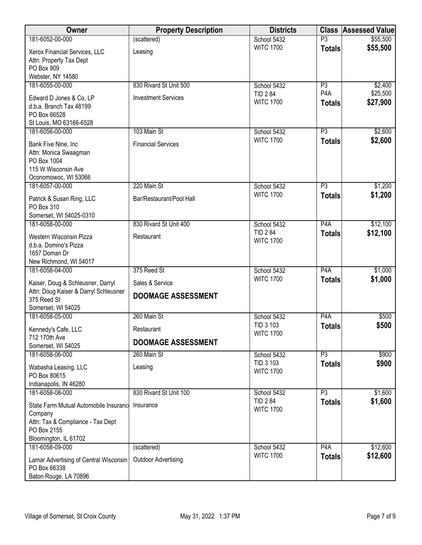| Owner                                                | <b>Property Description</b> | <b>Districts</b>                |                     | <b>Class Assessed Value</b> |
|------------------------------------------------------|-----------------------------|---------------------------------|---------------------|-----------------------------|
| 181-6052-00-000                                      | (scattered)                 | School 5432                     | $\overline{P3}$     | \$55,500                    |
| Xerox Financial Services, LLC                        | Leasing                     | <b>WITC 1700</b>                | <b>Totals</b>       | \$55,500                    |
| Attn: Property Tax Dept                              |                             |                                 |                     |                             |
| PO Box 909                                           |                             |                                 |                     |                             |
| Webster, NY 14580<br>181-6055-00-000                 | 830 Rivard St Unit 500      | School 5432                     | P3                  | \$2,400                     |
|                                                      |                             | <b>TID 284</b>                  | P <sub>4</sub> A    | \$25,500                    |
| Edward D Jones & Co, LP                              | <b>Investment Services</b>  | <b>WITC 1700</b>                | <b>Totals</b>       | \$27,900                    |
| d.b.a. Branch Tax 48199<br>PO Box 66528              |                             |                                 |                     |                             |
| St Louis, MO 63166-6528                              |                             |                                 |                     |                             |
| 181-6056-00-000                                      | 103 Main St                 | School 5432                     | P3                  | \$2,600                     |
| Bank Five Nine, Inc                                  | <b>Financial Services</b>   | <b>WITC 1700</b>                | <b>Totals</b>       | \$2,600                     |
| Attn: Monica Swaagman                                |                             |                                 |                     |                             |
| PO Box 1004                                          |                             |                                 |                     |                             |
| 115 W Wisconsin Ave                                  |                             |                                 |                     |                             |
| Oconomowoc, WI 53066<br>181-6057-00-000              | 220 Main St                 | School 5432                     | P3                  | \$1,200                     |
|                                                      |                             | <b>WITC 1700</b>                | <b>Totals</b>       | \$1,200                     |
| Patrick & Susan Ring, LLC<br>PO Box 310              | Bar/Restaurant/Pool Hall    |                                 |                     |                             |
| Somerset, WI 54025-0310                              |                             |                                 |                     |                             |
| 181-6058-00-000                                      | 830 Rivard St Unit 400      | School 5432                     | P4A                 | \$12,100                    |
| Western Wisconsin Pizza                              | Restaurant                  | <b>TID 284</b>                  | <b>Totals</b>       | \$12,100                    |
| d.b.a. Domino's Pizza                                |                             | <b>WITC 1700</b>                |                     |                             |
| 1657 Doman Dr                                        |                             |                                 |                     |                             |
| New Richmond, WI 54017                               |                             |                                 |                     |                             |
| 181-6058-04-000                                      | 375 Reed St                 | School 5432<br><b>WITC 1700</b> | P4A                 | \$1,000                     |
| Kaiser, Doug & Schleusner, Darryl                    | Sales & Service             |                                 | <b>Totals</b>       | \$1,000                     |
| Attn: Doug Kaiser & Darryl Schleusner<br>375 Reed St | <b>DOOMAGE ASSESSMENT</b>   |                                 |                     |                             |
| Somerset, WI 54025                                   |                             |                                 |                     |                             |
| 181-6058-05-000                                      | 260 Main St                 | School 5432                     | P <sub>4</sub> A    | \$500                       |
| Kennedy's Cafe, LLC                                  | Restaurant                  | TID 3 103                       | <b>Totals</b>       | \$500                       |
| 712 170th Ave                                        |                             | <b>WITC 1700</b>                |                     |                             |
| Somerset, WI 54025                                   | <b>DOOMAGE ASSESSMENT</b>   |                                 |                     |                             |
| 181-6058-06-000                                      | 260 Main St                 | School 5432                     | P3                  | \$900                       |
| Wabasha Leasing, LLC                                 | Leasing                     | TID 3 103<br><b>WITC 1700</b>   | <b>Totals</b>       | \$900                       |
| PO Box 80615                                         |                             |                                 |                     |                             |
| Indianapolis, IN 46280<br>181-6058-08-000            | 830 Rivard St Unit 100      |                                 |                     |                             |
|                                                      |                             | School 5432<br><b>TID 284</b>   | P3<br><b>Totals</b> | \$1,600<br>\$1,600          |
| State Farm Mutual Automobile Insurance               | Insurance                   | <b>WITC 1700</b>                |                     |                             |
| Company<br>Attn: Tax & Compliance - Tax Dept         |                             |                                 |                     |                             |
| PO Box 2155                                          |                             |                                 |                     |                             |
| Bloomington, IL 61702                                |                             |                                 |                     |                             |
| 181-6058-09-000                                      | (scattered)                 | School 5432                     | P4A                 | \$12,600                    |
| Lamar Advertising of Central Wisconsin               | <b>Outdoor Advertising</b>  | <b>WITC 1700</b>                | <b>Totals</b>       | \$12,600                    |
| PO Box 66338                                         |                             |                                 |                     |                             |
| Baton Rouge, LA 70896                                |                             |                                 |                     |                             |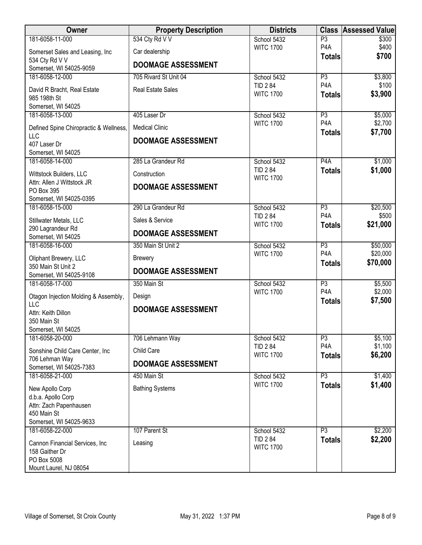| Owner                                             | <b>Property Description</b> | <b>Districts</b>                   | <b>Class</b>                      | Assessed Value     |
|---------------------------------------------------|-----------------------------|------------------------------------|-----------------------------------|--------------------|
| 181-6058-11-000                                   | 534 Cty Rd V V              | School 5432                        | $\overline{P3}$                   | \$300              |
| Somerset Sales and Leasing, Inc<br>534 Cty Rd V V | Car dealership              | <b>WITC 1700</b>                   | P <sub>4</sub> A<br><b>Totals</b> | \$400<br>\$700     |
| Somerset, WI 54025-9059                           | <b>DOOMAGE ASSESSMENT</b>   |                                    |                                   |                    |
| 181-6058-12-000                                   | 705 Rivard St Unit 04       | School 5432                        | P3                                | \$3,800            |
| David R Bracht, Real Estate<br>985 198th St       | <b>Real Estate Sales</b>    | <b>TID 284</b><br><b>WITC 1700</b> | P <sub>4</sub> A<br><b>Totals</b> | \$100<br>\$3,900   |
| Somerset, WI 54025                                |                             |                                    |                                   |                    |
| 181-6058-13-000                                   | 405 Laser Dr                | School 5432                        | P3                                | \$5,000            |
| Defined Spine Chiropractic & Wellness,<br>LLC     | <b>Medical Clinic</b>       | <b>WITC 1700</b>                   | P <sub>4</sub> A<br><b>Totals</b> | \$2,700<br>\$7,700 |
| 407 Laser Dr                                      | <b>DOOMAGE ASSESSMENT</b>   |                                    |                                   |                    |
| Somerset, WI 54025                                |                             |                                    |                                   |                    |
| 181-6058-14-000                                   | 285 La Grandeur Rd          | School 5432                        | P4A                               | \$1,000            |
| Wittstock Builders, LLC                           | Construction                | <b>TID 284</b><br><b>WITC 1700</b> | <b>Totals</b>                     | \$1,000            |
| Attn: Allen J Wittstock JR<br>PO Box 395          | <b>DOOMAGE ASSESSMENT</b>   |                                    |                                   |                    |
| Somerset, WI 54025-0395                           |                             |                                    |                                   |                    |
| 181-6058-15-000                                   | 290 La Grandeur Rd          | School 5432                        | $\overline{P3}$                   | \$20,500           |
| Stillwater Metals, LLC                            | Sales & Service             | <b>TID 284</b><br><b>WITC 1700</b> | P <sub>4</sub> A<br><b>Totals</b> | \$500<br>\$21,000  |
| 290 Lagrandeur Rd                                 | <b>DOOMAGE ASSESSMENT</b>   |                                    |                                   |                    |
| Somerset, WI 54025<br>181-6058-16-000             | 350 Main St Unit 2          | School 5432                        | P3                                | \$50,000           |
|                                                   |                             | <b>WITC 1700</b>                   | P <sub>4</sub> A                  | \$20,000           |
| Oliphant Brewery, LLC                             | <b>Brewery</b>              |                                    | <b>Totals</b>                     | \$70,000           |
| 350 Main St Unit 2<br>Somerset, WI 54025-9108     | <b>DOOMAGE ASSESSMENT</b>   |                                    |                                   |                    |
| 181-6058-17-000                                   | 350 Main St                 | School 5432                        | $\overline{P3}$                   | \$5,500            |
| Otagon Injection Molding & Assembly,              | Design                      | <b>WITC 1700</b>                   | P <sub>4</sub> A                  | \$2,000            |
| <b>LLC</b>                                        | <b>DOOMAGE ASSESSMENT</b>   |                                    | <b>Totals</b>                     | \$7,500            |
| Attn: Keith Dillon                                |                             |                                    |                                   |                    |
| 350 Main St                                       |                             |                                    |                                   |                    |
| Somerset, WI 54025<br>181-6058-20-000             | 706 Lehmann Way             | School 5432                        | P3                                | \$5,100            |
|                                                   |                             | <b>TID 284</b>                     | P <sub>4</sub> A                  | \$1,100            |
| Sonshine Child Care Center, Inc<br>706 Lehman Way | Child Care                  | <b>WITC 1700</b>                   | <b>Totals</b>                     | \$6,200            |
| Somerset, WI 54025-7383                           | <b>DOOMAGE ASSESSMENT</b>   |                                    |                                   |                    |
| 181-6058-21-000                                   | 450 Main St                 | School 5432                        | P3                                | \$1,400            |
| New Apollo Corp                                   | <b>Bathing Systems</b>      | <b>WITC 1700</b>                   | <b>Totals</b>                     | \$1,400            |
| d.b.a. Apollo Corp                                |                             |                                    |                                   |                    |
| Attn: Zach Papenhausen                            |                             |                                    |                                   |                    |
| 450 Main St                                       |                             |                                    |                                   |                    |
| Somerset, WI 54025-9633                           |                             |                                    |                                   |                    |
| 181-6058-22-000                                   | 107 Parent St               | School 5432<br><b>TID 284</b>      | P3                                | \$2,200            |
| Cannon Financial Services, Inc.                   | Leasing                     | <b>WITC 1700</b>                   | <b>Totals</b>                     | \$2,200            |
| 158 Gaither Dr<br>PO Box 5008                     |                             |                                    |                                   |                    |
| Mount Laurel, NJ 08054                            |                             |                                    |                                   |                    |